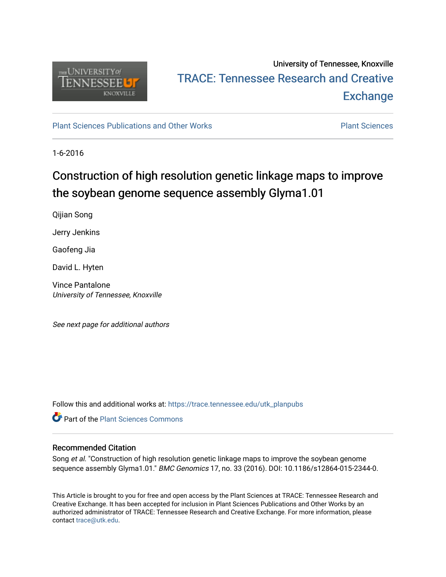

## University of Tennessee, Knoxville TRACE: T[ennessee Research and Cr](https://trace.tennessee.edu/)eative **Exchange**

[Plant Sciences Publications and Other Works](https://trace.tennessee.edu/utk_planpubs) [Plant Sciences](https://trace.tennessee.edu/utk-plan) 

1-6-2016

# Construction of high resolution genetic linkage maps to improve the soybean genome sequence assembly Glyma1.01

Qijian Song

Jerry Jenkins

Gaofeng Jia

David L. Hyten

Vince Pantalone University of Tennessee, Knoxville

See next page for additional authors

Follow this and additional works at: [https://trace.tennessee.edu/utk\\_planpubs](https://trace.tennessee.edu/utk_planpubs?utm_source=trace.tennessee.edu%2Futk_planpubs%2F73&utm_medium=PDF&utm_campaign=PDFCoverPages) 

**C** Part of the [Plant Sciences Commons](https://network.bepress.com/hgg/discipline/102?utm_source=trace.tennessee.edu%2Futk_planpubs%2F73&utm_medium=PDF&utm_campaign=PDFCoverPages)

#### Recommended Citation

Song et al. "Construction of high resolution genetic linkage maps to improve the soybean genome sequence assembly Glyma1.01." BMC Genomics 17, no. 33 (2016). DOI: 10.1186/s12864-015-2344-0.

This Article is brought to you for free and open access by the Plant Sciences at TRACE: Tennessee Research and Creative Exchange. It has been accepted for inclusion in Plant Sciences Publications and Other Works by an authorized administrator of TRACE: Tennessee Research and Creative Exchange. For more information, please contact [trace@utk.edu](mailto:trace@utk.edu).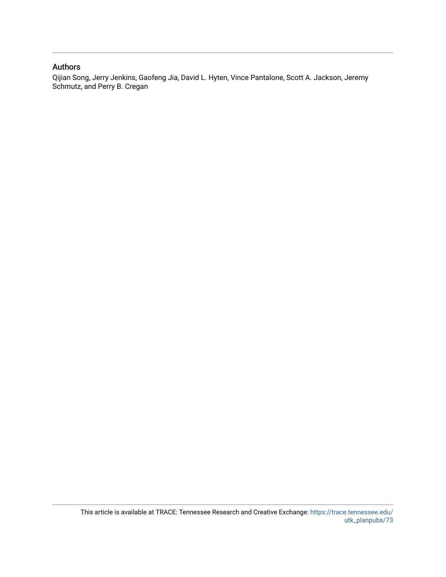#### Authors

Qijian Song, Jerry Jenkins, Gaofeng Jia, David L. Hyten, Vince Pantalone, Scott A. Jackson, Jeremy Schmutz, and Perry B. Cregan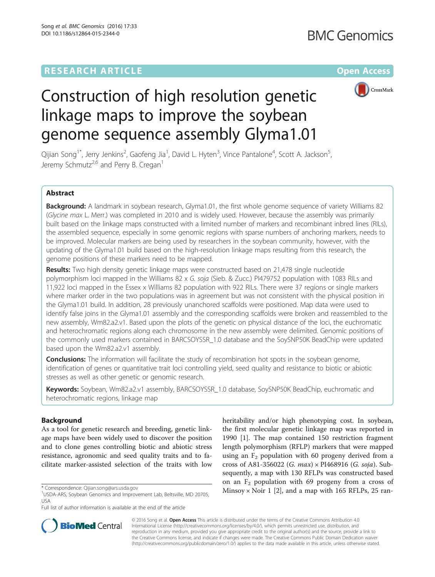### **RESEARCH ARTICLE External Structure Community Community Community Community Community Community Community Community**



# Construction of high resolution genetic linkage maps to improve the soybean genome sequence assembly Glyma1.01

Qijian Song<sup>1\*</sup>, Jerry Jenkins<sup>2</sup>, Gaofeng Jia<sup>1</sup>, David L. Hyten<sup>3</sup>, Vince Pantalone<sup>4</sup>, Scott A. Jackson<sup>5</sup> , Jeremy Schmutz<sup>2,6</sup> and Perry B. Cregan<sup>1</sup>

#### Abstract

Background: A landmark in soybean research, Glyma1.01, the first whole genome sequence of variety Williams 82 (Glycine max L. Merr.) was completed in 2010 and is widely used. However, because the assembly was primarily built based on the linkage maps constructed with a limited number of markers and recombinant inbred lines (RILs), the assembled sequence, especially in some genomic regions with sparse numbers of anchoring markers, needs to be improved. Molecular markers are being used by researchers in the soybean community, however, with the updating of the Glyma1.01 build based on the high-resolution linkage maps resulting from this research, the genome positions of these markers need to be mapped.

Results: Two high density genetic linkage maps were constructed based on 21,478 single nucleotide polymorphism loci mapped in the Williams 82 x G. soja (Sieb. & Zucc.) PI479752 population with 1083 RILs and 11,922 loci mapped in the Essex x Williams 82 population with 922 RILs. There were 37 regions or single markers where marker order in the two populations was in agreement but was not consistent with the physical position in the Glyma1.01 build. In addition, 28 previously unanchored scaffolds were positioned. Map data were used to identify false joins in the Glyma1.01 assembly and the corresponding scaffolds were broken and reassembled to the new assembly, Wm82.a2.v1. Based upon the plots of the genetic on physical distance of the loci, the euchromatic and heterochromatic regions along each chromosome in the new assembly were delimited. Genomic positions of the commonly used markers contained in BARCSOYSSR\_1.0 database and the SoySNP50K BeadChip were updated based upon the Wm82.a2.v1 assembly.

**Conclusions:** The information will facilitate the study of recombination hot spots in the soybean genome, identification of genes or quantitative trait loci controlling yield, seed quality and resistance to biotic or abiotic stresses as well as other genetic or genomic research.

Keywords: Soybean, Wm82.a2.v1 assembly, BARCSOYSSR\_1.0 database, SoySNP50K BeadChip, euchromatic and heterochromatic regions, linkage map

#### Background

As a tool for genetic research and breeding, genetic linkage maps have been widely used to discover the position and to clone genes controlling biotic and abiotic stress resistance, agronomic and seed quality traits and to facilitate marker-assisted selection of the traits with low

heritability and/or high phenotyping cost. In soybean, the first molecular genetic linkage map was reported in 1990 [\[1](#page-12-0)]. The map contained 150 restriction fragment length polymorphism (RFLP) markers that were mapped using an  $F<sub>2</sub>$  population with 60 progeny derived from a cross of A81-356022 (G. max) × PI468916 (G. soja). Subsequently, a map with 130 RFLPs was constructed based on an  $F_2$  population with 69 progeny from a cross of \* Correspondence: Qijian.song@ars.usda.gov<br>|- Minsoy × Noir 1 [[2\]](#page-12-0), and a map with 165 RFLPs, 25 ran-



© 2016 Song et al. Open Access This article is distributed under the terms of the Creative Commons Attribution 4.0 International License [\(http://creativecommons.org/licenses/by/4.0/](http://creativecommons.org/licenses/by/4.0/)), which permits unrestricted use, distribution, and reproduction in any medium, provided you give appropriate credit to the original author(s) and the source, provide a link to the Creative Commons license, and indicate if changes were made. The Creative Commons Public Domain Dedication waiver [\(http://creativecommons.org/publicdomain/zero/1.0/](http://creativecommons.org/publicdomain/zero/1.0/)) applies to the data made available in this article, unless otherwise stated.

<sup>&</sup>lt;sup>1</sup>USDA-ARS, Soybean Genomics and Improvement Lab, Beltsville, MD 20705, USA

Full list of author information is available at the end of the article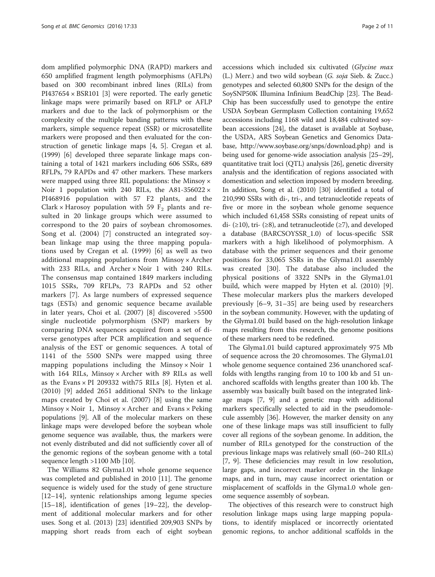dom amplified polymorphic DNA (RAPD) markers and 650 amplified fragment length polymorphisms (AFLPs) based on 300 recombinant inbred lines (RILs) from  $PI437654 \times BSR101$  [\[3\]](#page-12-0) were reported. The early genetic linkage maps were primarily based on RFLP or AFLP markers and due to the lack of polymorphism or the complexity of the multiple banding patterns with these markers, simple sequence repeat (SSR) or microsatellite markers were proposed and then evaluated for the construction of genetic linkage maps [\[4, 5\]](#page-12-0). Cregan et al. (1999) [\[6](#page-12-0)] developed three separate linkage maps containing a total of 1421 markers including 606 SSRs, 689 RFLPs, 79 RAPDs and 47 other markers. These markers were mapped using three RIL populations: the Minsoy × Noir 1 population with 240 RILs, the A81-356022  $\times$ PI468916 population with 57 F2 plants, and the Clark  $\times$  Harosoy population with 59  $F_2$  plants and resulted in 20 linkage groups which were assumed to correspond to the 20 pairs of soybean chromosomes. Song et al. (2004) [\[7](#page-12-0)] constructed an integrated soybean linkage map using the three mapping populations used by Cregan et al. (1999) [[6\]](#page-12-0) as well as two additional mapping populations from Minsoy × Archer with 233 RILs, and Archer  $\times$  Noir 1 with 240 RILs. The consensus map contained 1849 markers including 1015 SSRs, 709 RFLPs, 73 RAPDs and 52 other markers [\[7](#page-12-0)]. As large numbers of expressed sequence tags (ESTs) and genomic sequence became available in later years, Choi et al. (2007) [\[8](#page-12-0)] discovered >5500 single nucleotide polymorphism (SNP) markers by comparing DNA sequences acquired from a set of diverse genotypes after PCR amplification and sequence analysis of the EST or genomic sequences. A total of 1141 of the 5500 SNPs were mapped using three mapping populations including the Minsoy  $\times$  Noir 1 with 164 RILs, Minsoy × Archer with 89 RILs as well as the Evans  $\times$  PI 209332 with 75 RILs [[8\]](#page-12-0). Hyten et al. (2010) [[9\]](#page-12-0) added 2651 additional SNPs to the linkage maps created by Choi et al. (2007) [[8\]](#page-12-0) using the same  $M$ insoy × Noir 1, Minsoy × Archer and Evans × Peking populations [\[9](#page-12-0)]. All of the molecular markers on these linkage maps were developed before the soybean whole genome sequence was available, thus, the markers were not evenly distributed and did not sufficiently cover all of the genomic regions of the soybean genome with a total sequence length >1100 Mb [[10](#page-12-0)].

The Williams 82 Glyma1.01 whole genome sequence was completed and published in 2010 [\[11](#page-12-0)]. The genome sequence is widely used for the study of gene structure [[12](#page-12-0)–[14](#page-12-0)], syntenic relationships among legume species [[15](#page-12-0)–[18](#page-12-0)], identification of genes [[19](#page-12-0)–[22](#page-12-0)], the development of additional molecular markers and for other uses. Song et al. (2013) [\[23](#page-12-0)] identified 209,903 SNPs by mapping short reads from each of eight soybean

accessions which included six cultivated (Glycine max (L.) Merr.) and two wild soybean (G. soja Sieb. & Zucc.) genotypes and selected 60,800 SNPs for the design of the SoySNP50K Illumina Infinium BeadChip [[23](#page-12-0)]. The Bead-Chip has been successfully used to genotype the entire USDA Soybean Germplasm Collection containing 19,652 accessions including 1168 wild and 18,484 cultivated soybean accessions [\[24](#page-12-0)], the dataset is available at Soybase, the USDA, ARS Soybean Genetics and Genomics Database,<http://www.soybase.org/snps/download.php>) and is being used for genome-wide association analysis [\[25](#page-12-0)–[29](#page-12-0)], quantitative trait loci (QTL) analysis [\[26\]](#page-12-0), genetic diversity analysis and the identification of regions associated with domestication and selection imposed by modern breeding. In addition, Song et al. (2010) [\[30\]](#page-12-0) identified a total of 210,990 SSRs with di-, tri-, and tetranucleotide repeats of five or more in the soybean whole genome sequence which included 61,458 SSRs consisting of repeat units of di-  $(\geq 10)$ , tri-  $(\geq 8)$ , and tetranucleotide ( $\geq 7$ ), and developed a database (BARCSOYSSR\_1.0) of locus-specific SSR markers with a high likelihood of polymorphism. A database with the primer sequences and their genome positions for 33,065 SSRs in the Glyma1.01 assembly was created [[30\]](#page-12-0). The database also included the physical positions of 3322 SNPs in the Glyma1.01 build, which were mapped by Hyten et al. (2010) [\[9](#page-12-0)]. These molecular markers plus the markers developed previously [[6](#page-12-0)–[9, 31](#page-12-0)–[35](#page-12-0)] are being used by researchers in the soybean community. However, with the updating of the Glyma1.01 build based on the high-resolution linkage maps resulting from this research, the genome positions of these markers need to be redefined.

The Glyma1.01 build captured approximately 975 Mb of sequence across the 20 chromosomes. The Glyma1.01 whole genome sequence contained 236 unanchored scaffolds with lengths ranging from 10 to 100 kb and 51 unanchored scaffolds with lengths greater than 100 kb. The assembly was basically built based on the integrated linkage maps [\[7](#page-12-0), [9](#page-12-0)] and a genetic map with additional markers specifically selected to aid in the pseudomolecule assembly [\[36](#page-12-0)]. However, the marker density on any one of these linkage maps was still insufficient to fully cover all regions of the soybean genome. In addition, the number of RILs genotyped for the construction of the previous linkage maps was relatively small (60–240 RILs) [[7, 9](#page-12-0)]. These deficiencies may result in low resolution, large gaps, and incorrect marker order in the linkage maps, and in turn, may cause incorrect orientation or misplacement of scaffolds in the Glyma1.0 whole genome sequence assembly of soybean.

The objectives of this research were to construct high resolution linkage maps using large mapping populations, to identify misplaced or incorrectly orientated genomic regions, to anchor additional scaffolds in the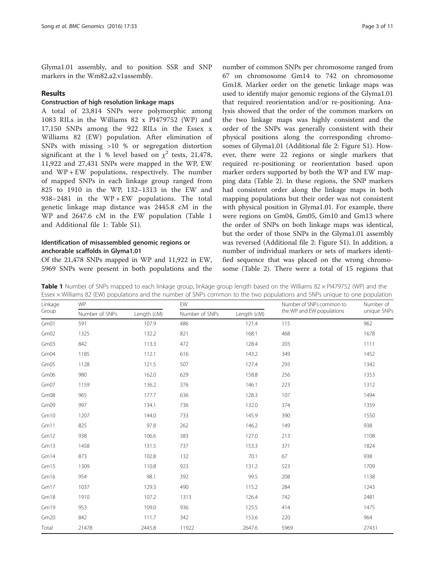Glyma1.01 assembly, and to position SSR and SNP markers in the Wm82.a2.v1assembly.

#### Results

#### Construction of high resolution linkage maps

A total of 23,814 SNPs were polymorphic among 1083 RILs in the Williams 82 x PI479752 (WP) and 17,150 SNPs among the 922 RILs in the Essex x Williams 82 (EW) population. After elimination of SNPs with missing >10 % or segregation distortion significant at the 1 % level based on  $\chi^2$  tests, 21,478, 11,922 and 27,431 SNPs were mapped in the WP, EW and  $WP + EW$  populations, respectively. The number of mapped SNPs in each linkage group ranged from 825 to 1910 in the WP, 132–1313 in the EW and 938–2481 in the WP + EW populations. The total genetic linkage map distance was 2445.8 cM in the WP and 2647.6 cM in the EW population (Table 1 and Additional file [1:](#page-11-0) Table S1).

#### Identification of misassembled genomic regions or anchorable scaffolds in Glyma1.01

Of the 21,478 SNPs mapped in WP and 11,922 in EW, 5969 SNPs were present in both populations and the number of common SNPs per chromosome ranged from 67 on chromosome Gm14 to 742 on chromosome Gm18. Marker order on the genetic linkage maps was used to identify major genomic regions of the Glyma1.01 that required reorientation and/or re-positioning. Analysis showed that the order of the common markers on the two linkage maps was highly consistent and the order of the SNPs was generally consistent with their physical positions along the corresponding chromosomes of Glyma1.01 (Additional file [2](#page-11-0): Figure S1). However, there were 22 regions or single markers that required re-positioning or reorientation based upon marker orders supported by both the WP and EW mapping data (Table [2\)](#page-5-0). In these regions, the SNP markers had consistent order along the linkage maps in both mapping populations but their order was not consistent with physical position in Glyma1.01. For example, there were regions on Gm04, Gm05, Gm10 and Gm13 where the order of SNPs on both linkage maps was identical, but the order of those SNPs in the Glyma1.01 assembly was reversed (Additional file [2](#page-11-0): Figure S1). In addition, a number of individual markers or sets of markers identified sequence that was placed on the wrong chromosome (Table [2\)](#page-5-0). There were a total of 15 regions that

| Linkage<br>Group | <b>WP</b>      |             | EW             |             | Number of SNPs common to  | Number of   |
|------------------|----------------|-------------|----------------|-------------|---------------------------|-------------|
|                  | Number of SNPs | Length (cM) | Number of SNPs | Length (cM) | the WP and EW populations | unique SNPs |
| Gm01             | 591            | 107.9       | 486            | 121.4       | 115                       | 962         |
| Gm02             | 1325           | 132.2       | 821            | 168.1       | 468                       | 1678        |
| Gm03             | 842            | 113.3       | 472            | 128.4       | 203                       | 1111        |
| Gm04             | 1185           | 112.1       | 616            | 143.2       | 349                       | 1452        |
| Gm05             | 1128           | 121.5       | 507            | 127.4       | 293                       | 1342        |
| Gm06             | 980            | 162.0       | 629            | 158.8       | 256                       | 1353        |
| Gm07             | 1159           | 136.2       | 376            | 146.1       | 223                       | 1312        |
| Gm08             | 965            | 177.7       | 636            | 128.3       | 107                       | 1494        |
| Gm09             | 997            | 134.1       | 736            | 132.0       | 374                       | 1359        |
| Gm10             | 1207           | 144.0       | 733            | 145.9       | 390                       | 1550        |
| Gm11             | 825            | 97.8        | 262            | 146.2       | 149                       | 938         |
| Gm12             | 938            | 106.6       | 383            | 127.0       | 213                       | 1108        |
| Gm13             | 1458           | 131.5       | 737            | 153.3       | 371                       | 1824        |
| Gm14             | 873            | 102.8       | 132            | 70.1        | 67                        | 938         |
| Gm15             | 1309           | 110.8       | 923            | 131.2       | 523                       | 1709        |
| Gm16             | 954            | 98.1        | 392            | 99.5        | 208                       | 1138        |
| Gm17             | 1037           | 129.3       | 490            | 115.2       | 284                       | 1243        |
| Gm18             | 1910           | 107.2       | 1313           | 126.4       | 742                       | 2481        |
| Gm19             | 953            | 109.0       | 936            | 125.5       | 414                       | 1475        |
| Gm20             | 842            | 111.7       | 342            | 153.6       | 220                       | 964         |
| Total            | 21478          | 2445.8      | 11922          | 2647.6      | 5969                      | 27431       |

Table 1 Number of SNPs mapped to each linkage group, linkage group length based on the Williams  $82 \times P$ I479752 (WP) and the Essex × Williams 82 (EW) populations and the number of SNPs common to the two populations and SNPs unique to one population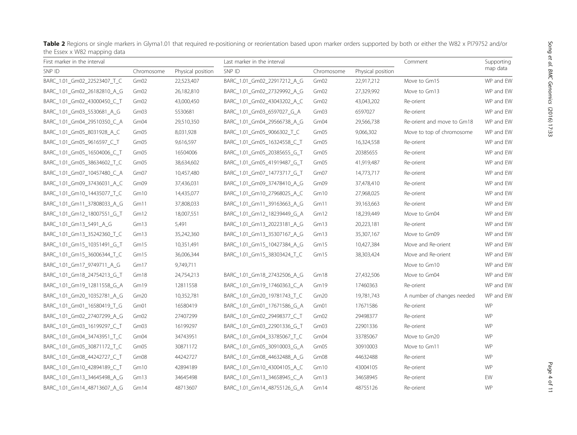| THE FISCA Y MOT HIS MINING ASIS |            |                   |                             |            |                   |                            |                        |
|---------------------------------|------------|-------------------|-----------------------------|------------|-------------------|----------------------------|------------------------|
| First marker in the interval    |            |                   | Last marker in the interval |            |                   | Comment                    | Supporting<br>map data |
| SNP ID                          | Chromosome | Physical position | SNP ID                      | Chromosome | Physical position |                            |                        |
| BARC_1.01_Gm02_22523407_T_C     | Gm02       | 22,523,407        | BARC_1.01_Gm02_22917212_A_G | Gm02       | 22,917,212        | Move to Gm15               | WP and EW              |
| BARC_1.01_Gm02_26182810_A_G     | Gm02       | 26,182,810        | BARC_1.01_Gm02_27329992_A_G | Gm02       | 27,329,992        | Move to Gm13               | WP and EW              |
| BARC_1.01_Gm02_43000450_C_T     | Gm02       | 43,000,450        | BARC_1.01_Gm02_43043202_A_C | Gm02       | 43,043,202        | Re-orient                  | WP and EW              |
| BARC_1.01_Gm03_5530681_A_G      | Gm03       | 5530681           | BARC_1.01_Gm03_6597027_G_A  | Gm03       | 6597027           | Re-orient                  | WP and EW              |
| BARC 1.01 Gm04 29510350 C A     | Gm04       | 29,510,350        | BARC 1.01 Gm04 29566738 A G | Gm04       | 29,566,738        | Re-orient and move to Gm18 | WP and EW              |
| BARC_1.01_Gm05_8031928_A_C      | Gm05       | 8,031,928         | BARC_1.01_Gm05_9066302_T_C  | Gm05       | 9,066,302         | Move to top of chromosome  | WP and EW              |
| BARC_1.01_Gm05_9616597_C_T      | Gm05       | 9,616,597         | BARC_1.01_Gm05_16324558_C_T | Gm05       | 16,324,558        | Re-orient                  | WP and EW              |
| BARC_1.01_Gm05_16504006_C_T     | Gm05       | 16504006          | BARC_1.01_Gm05_20385655_G_T | Gm05       | 20385655          | Re-orient                  | WP and EW              |
| BARC 1.01 Gm05 38634602 T C     | Gm05       | 38,634,602        | BARC 1.01 Gm05 41919487 G T | Gm05       | 41,919,487        | Re-orient                  | WP and EW              |
| BARC_1.01_Gm07_10457480_C_A     | Gm07       | 10,457,480        | BARC_1.01_Gm07_14773717_G_T | Gm07       | 14,773,717        | Re-orient                  | WP and EW              |
| BARC_1.01_Gm09_37436031_A_C     | Gm09       | 37,436,031        | BARC_1.01_Gm09_37478410_A_G | Gm09       | 37,478,410        | Re-orient                  | WP and EW              |
| BARC_1.01_Gm10_14435077_T_C     | Gm10       | 14,435,077        | BARC_1.01_Gm10_27968025_A_C | Gm10       | 27,968,025        | Re-orient                  | WP and EW              |
| BARC_1.01_Gm11_37808033_A_G     | Gm11       | 37,808,033        | BARC_1.01_Gm11_39163663_A_G | Gm11       | 39,163,663        | Re-orient                  | WP and EW              |
| BARC_1.01_Gm12_18007551_G_T     | Gm12       | 18,007,551        | BARC_1.01_Gm12_18239449_G_A | Gm12       | 18,239,449        | Move to Gm04               | WP and EW              |
| BARC_1.01_Gm13_5491_A_G         | Gm13       | 5,491             | BARC_1.01_Gm13_20223181_A_G | Gm13       | 20,223,181        | Re-orient                  | WP and EW              |
| BARC_1.01_Gm13_35242360_T_C     | Gm13       | 35,242,360        | BARC_1.01_Gm13_35307167_A_G | Gm13       | 35,307,167        | Move to Gm09               | WP and EW              |
| BARC_1.01_Gm15_10351491_G_T     | Gm15       | 10,351,491        | BARC_1.01_Gm15_10427384_A_G | Gm15       | 10,427,384        | Move and Re-orient         | WP and EW              |
| BARC_1.01_Gm15_36006344_T_C     | Gm15       | 36,006,344        | BARC_1.01_Gm15_38303424_T_C | Gm15       | 38,303,424        | Move and Re-orient         | WP and EW              |
| BARC_1.01_Gm17_9749711_A_G      | Gm17       | 9,749,711         |                             |            |                   | Move to Gm10               | WP and EW              |
| BARC_1.01_Gm18_24754213_G_T     | Gm18       | 24,754,213        | BARC 1.01 Gm18 27432506 A G | Gm18       | 27,432,506        | Move to Gm04               | WP and EW              |
| BARC_1.01_Gm19_12811558_G_A     | Gm19       | 12811558          | BARC_1.01_Gm19_17460363_C_A | Gm19       | 17460363          | Re-orient                  | WP and EW              |
| BARC_1.01_Gm20_10352781_A_G     | Gm20       | 10,352,781        | BARC_1.01_Gm20_19781743_T_C | Gm20       | 19,781,743        | A number of changes needed | WP and EW              |
| BARC_1.01_Gm01_16580419_T_G     | Gm01       | 16580419          | BARC_1.01_Gm01_17671586_G_A | Gm01       | 17671586          | Re-orient                  | <b>WP</b>              |
| BARC_1.01_Gm02_27407299_A_G     | Gm02       | 27407299          | BARC_1.01_Gm02_29498377_C_T | Gm02       | 29498377          | Re-orient                  | WP                     |
| BARC_1.01_Gm03_16199297_C_T     | Gm03       | 16199297          | BARC_1.01_Gm03_22901336_G_T | Gm03       | 22901336          | Re-orient                  | <b>WP</b>              |
| BARC_1.01_Gm04_34743951_T_C     | Gm04       | 34743951          | BARC_1.01_Gm04_33785067_T_C | Gm04       | 33785067          | Move to Gm20               | WP                     |
| BARC_1.01_Gm05_30871172_T_C     | Gm05       | 30871172          | BARC_1.01_Gm05_30910003_G_A | Gm05       | 30910003          | Move to Gm11               | <b>WP</b>              |
| BARC_1.01_Gm08_44242727_C_T     | Gm08       | 44242727          | BARC 1.01 Gm08 44632488 A G | Gm08       | 44632488          | Re-orient                  | <b>WP</b>              |
| BARC_1.01_Gm10_42894189_C_T     | Gm10       | 42894189          | BARC_1.01_Gm10_43004105_A_C | Gm10       | 43004105          | Re-orient                  | <b>WP</b>              |
| BARC_1.01_Gm13_34645498_A_G     | Gm13       | 34645498          | BARC_1.01_Gm13_34658945_C_A | Gm13       | 34658945          | Re-orient                  | EW                     |
| BARC 1.01 Gm14 48713607 A G     | Gm14       | 48713607          | BARC 1.01 Gm14 48755126 G A | Gm14       | 48755126          | Re-orient                  | <b>WP</b>              |

<span id="page-5-0"></span>Table 2 Regions or single markers in Glyma1.01 that required re-positioning or reorientation based upon marker orders supported by both or either the W82 x PI79752 and/or the Essex x W82 mapping data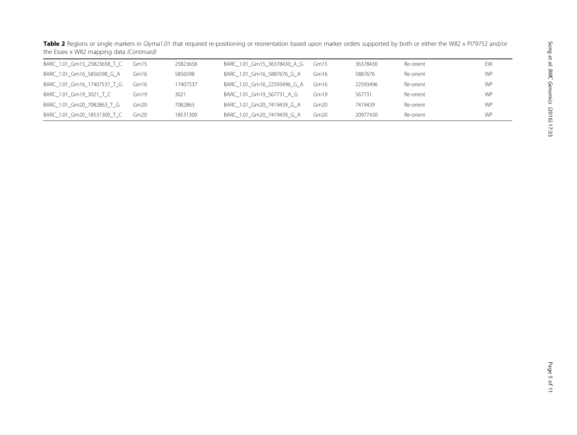| BARC_1.01_Gm15_25823658_T_C | Gm15  | 25823658 | BARC_1.01_Gm15_36378430_A_G | Gm <sub>15</sub> | 36378430 | Re-orient | EW        |
|-----------------------------|-------|----------|-----------------------------|------------------|----------|-----------|-----------|
| BARC_1.01_Gm16_5856598_G_A  | Gm16  | 5856598  | BARC 1.01 Gm16 5887676 G A  | Gm <sub>16</sub> | 5887676  | Re-orient | <b>WP</b> |
| BARC 1.01 Gm16 17407537 T G | Gm 16 | 17407537 | BARC 1.01 Gm16 22593496 G A | Gm16             | 22593496 | Re-orient | <b>WP</b> |
| BARC_1.01_Gm19_3021_T_C     | Gm19  | 3021     | BARC 1.01 Gm19 567731 A G   | Gm19             | 567731   | Re-orient | <b>WP</b> |
| BARC_1.01_Gm20_7082863_T_G  | Gm20. | 7082863  | BARC 1.01 Gm20 7419439 G A  | Gm20             | 7419439  | Re-orient | <b>WP</b> |
| BARC 1.01 Gm20 18531300 T C | Gm20  | 18531300 | BARC_1.01_Gm20_7419439 G A  | Gm20             | 20977430 | Re-orient | <b>WP</b> |

**Table 2** Regions or single markers in Glyma1.01 that required re-positioning or reorientation based upon marker orders supported by both or either the W82 x PI79752 and/or the Essex x W82 mapping data (Continued)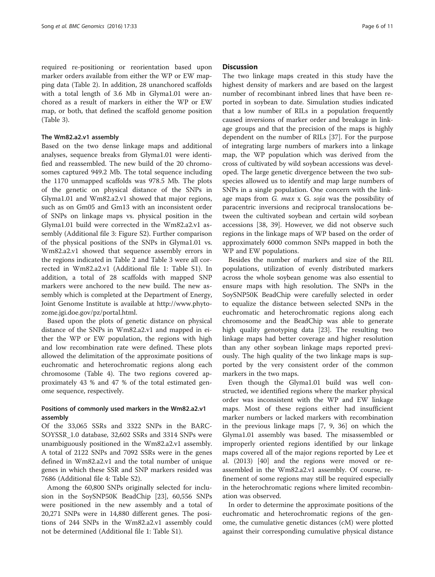required re-positioning or reorientation based upon marker orders available from either the WP or EW mapping data (Table [2\)](#page-5-0). In addition, 28 unanchored scaffolds with a total length of 3.6 Mb in Glyma1.01 were anchored as a result of markers in either the WP or EW map, or both, that defined the scaffold genome position (Table [3\)](#page-8-0).

#### The Wm82.a2.v1 assembly

Based on the two dense linkage maps and additional analyses, sequence breaks from Glyma1.01 were identified and reassembled. The new build of the 20 chromosomes captured 949.2 Mb. The total sequence including the 1170 unmapped scaffolds was 978.5 Mb. The plots of the genetic on physical distance of the SNPs in Glyma1.01 and Wm82.a2.v1 showed that major regions, such as on Gm05 and Gm13 with an inconsistent order of SNPs on linkage maps vs. physical position in the Glyma1.01 build were corrected in the Wm82.a2.v1 assembly (Additional file [3](#page-11-0): Figure S2). Further comparison of the physical positions of the SNPs in Glyma1.01 vs. Wm82.a2.v1 showed that sequence assembly errors in the regions indicated in Table [2](#page-5-0) and Table [3](#page-8-0) were all corrected in Wm82.a2.v1 (Additional file [1](#page-11-0): Table S1). In addition, a total of 28 scaffolds with mapped SNP markers were anchored to the new build. The new assembly which is completed at the Department of Energy, Joint Genome Institute is available at [http://www.phyto](http://www.phytozome.jgi.doe.gov/pz/portal.html)[zome.jgi.doe.gov/pz/portal.html.](http://www.phytozome.jgi.doe.gov/pz/portal.html)

Based upon the plots of genetic distance on physical distance of the SNPs in Wm82.a2.v1 and mapped in either the WP or EW population, the regions with high and low recombination rate were defined. These plots allowed the delimitation of the approximate positions of euchromatic and heterochromatic regions along each chromosome (Table [4](#page-10-0)). The two regions covered approximately 43 % and 47 % of the total estimated genome sequence, respectively.

#### Positions of commonly used markers in the Wm82.a2.v1 assembly

Of the 33,065 SSRs and 3322 SNPs in the BARC-SOYSSR\_1.0 database, 32,602 SSRs and 3314 SNPs were unambiguously positioned in the Wm82.a2.v1 assembly. A total of 2122 SNPs and 7092 SSRs were in the genes defined in Wm82.a2.v1 and the total number of unique genes in which these SSR and SNP markers resided was 7686 (Additional file [4:](#page-11-0) Table S2).

Among the 60,800 SNPs originally selected for inclusion in the SoySNP50K BeadChip [\[23](#page-12-0)], 60,556 SNPs were positioned in the new assembly and a total of 20,271 SNPs were in 14,880 different genes. The positions of 244 SNPs in the Wm82.a2.v1 assembly could not be determined (Additional file [1:](#page-11-0) Table S1).

#### **Discussion**

The two linkage maps created in this study have the highest density of markers and are based on the largest number of recombinant inbred lines that have been reported in soybean to date. Simulation studies indicated that a low number of RILs in a population frequently caused inversions of marker order and breakage in linkage groups and that the precision of the maps is highly dependent on the number of RILs [[37](#page-12-0)]. For the purpose of integrating large numbers of markers into a linkage map, the WP population which was derived from the cross of cultivated by wild soybean accessions was developed. The large genetic divergence between the two subspecies allowed us to identify and map large numbers of SNPs in a single population. One concern with the linkage maps from G. max x G. soja was the possibility of paracentric inversions and reciprocal translocations between the cultivated soybean and certain wild soybean accessions [\[38](#page-12-0), [39\]](#page-12-0). However, we did not observe such regions in the linkage maps of WP based on the order of approximately 6000 common SNPs mapped in both the WP and EW populations.

Besides the number of markers and size of the RIL populations, utilization of evenly distributed markers across the whole soybean genome was also essential to ensure maps with high resolution. The SNPs in the SoySNP50K BeadChip were carefully selected in order to equalize the distance between selected SNPs in the euchromatic and heterochromatic regions along each chromosome and the BeadChip was able to generate high quality genotyping data [\[23\]](#page-12-0). The resulting two linkage maps had better coverage and higher resolution than any other soybean linkage maps reported previously. The high quality of the two linkage maps is supported by the very consistent order of the common markers in the two maps.

Even though the Glyma1.01 build was well constructed, we identified regions where the marker physical order was inconsistent with the WP and EW linkage maps. Most of these regions either had insufficient marker numbers or lacked markers with recombination in the previous linkage maps [[7, 9, 36\]](#page-12-0) on which the Glyma1.01 assembly was based. The misassembled or improperly oriented regions identified by our linkage maps covered all of the major regions reported by Lee et al. (2013) [[40\]](#page-12-0) and the regions were moved or reassembled in the Wm82.a2.v1 assembly. Of course, refinement of some regions may still be required especially in the heterochromatic regions where limited recombination was observed.

In order to determine the approximate positions of the euchromatic and heterochromatic regions of the genome, the cumulative genetic distances (cM) were plotted against their corresponding cumulative physical distance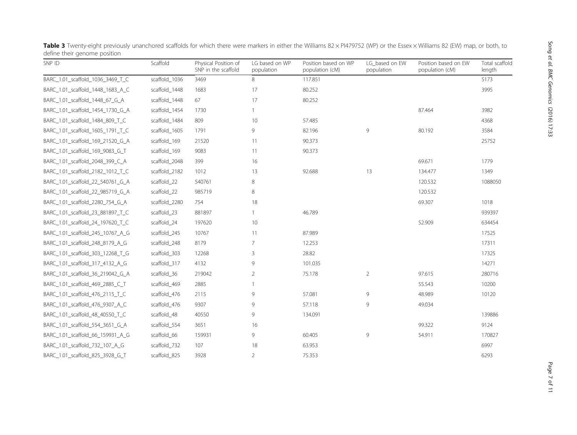| SNP ID                           | Scaffold      | Physical Position of<br>SNP in the scaffold | LG based on WP<br>population | Position based on WP<br>population (cM) | LG based on EW<br>population | Position based on EW<br>population (cM) | Total scaffold<br>length |
|----------------------------------|---------------|---------------------------------------------|------------------------------|-----------------------------------------|------------------------------|-----------------------------------------|--------------------------|
| BARC_1.01_scaffold_1036_3469_T_C | scaffold_1036 | 3469                                        | 8                            | 117.851                                 |                              |                                         | 5173                     |
| BARC_1.01_scaffold_1448_1683_A_C | scaffold_1448 | 1683                                        | 17                           | 80.252                                  |                              |                                         | 3995                     |
| BARC_1.01_scaffold_1448_67_G_A   | scaffold_1448 | 67                                          | 17                           | 80.252                                  |                              |                                         |                          |
| BARC_1.01_scaffold_1454_1730_G_A | scaffold_1454 | 1730                                        | $\mathbf{1}$                 |                                         |                              | 87.464                                  | 3982                     |
| BARC_1.01_scaffold_1484_809_T_C  | scaffold_1484 | 809                                         | 10                           | 57.485                                  |                              |                                         | 4368                     |
| BARC_1.01_scaffold_1605_1791_T_C | scaffold_1605 | 1791                                        | 9                            | 82.196                                  | 9                            | 80.192                                  | 3584                     |
| BARC_1.01_scaffold_169_21520_G_A | scaffold_169  | 21520                                       | 11                           | 90.373                                  |                              |                                         | 25752                    |
| BARC_1.01_scaffold_169_9083_G_T  | scaffold_169  | 9083                                        | 11                           | 90.373                                  |                              |                                         |                          |
| BARC_1.01_scaffold_2048_399_C_A  | scaffold_2048 | 399                                         | 16                           |                                         |                              | 69.671                                  | 1779                     |
| BARC_1.01_scaffold_2182_1012_T_C | scaffold_2182 | 1012                                        | 13                           | 92.688                                  | 13                           | 134.477                                 | 1349                     |
| BARC_1.01_scaffold_22_540761_G_A | scaffold_22   | 540761                                      | 8                            |                                         |                              | 120.532                                 | 1088050                  |
| BARC_1.01_scaffold_22_985719_G_A | scaffold_22   | 985719                                      | 8                            |                                         |                              | 120.532                                 |                          |
| BARC_1.01_scaffold_2280_754_G_A  | scaffold_2280 | 754                                         | 18                           |                                         |                              | 69.307                                  | 1018                     |
| BARC_1.01_scaffold_23_881897_T_C | scaffold_23   | 881897                                      | 1                            | 46.789                                  |                              |                                         | 939397                   |
| BARC_1.01_scaffold_24_197620_T_C | scaffold_24   | 197620                                      | 10                           |                                         |                              | 52.909                                  | 634454                   |
| BARC_1.01_scaffold_245_10767_A_G | scaffold_245  | 10767                                       | 11                           | 87.989                                  |                              |                                         | 17525                    |
| BARC_1.01_scaffold_248_8179_A_G  | scaffold_248  | 8179                                        | 7                            | 12.253                                  |                              |                                         | 17311                    |
| BARC_1.01_scaffold_303_12268_T_G | scaffold_303  | 12268                                       | 3                            | 28.82                                   |                              |                                         | 17325                    |
| BARC_1.01_scaffold_317_4132_A_G  | scaffold_317  | 4132                                        | 9                            | 101.035                                 |                              |                                         | 14271                    |
| BARC_1.01_scaffold_36_219042_G_A | scaffold_36   | 219042                                      | $\overline{2}$               | 75.178                                  | $\overline{2}$               | 97.615                                  | 280716                   |
| BARC_1.01_scaffold_469_2885_C_T  | scaffold_469  | 2885                                        | 1                            |                                         |                              | 55.543                                  | 10200                    |
| BARC_1.01_scaffold_476_2115_T_C  | scaffold_476  | 2115                                        | 9                            | 57.081                                  | 9                            | 48.989                                  | 10120                    |
| BARC_1.01_scaffold_476_9307_A_C  | scaffold_476  | 9307                                        | 9                            | 57.118                                  | 9                            | 49.034                                  |                          |
| BARC_1.01_scaffold_48_40550_T_C  | scaffold_48   | 40550                                       | 9                            | 134.091                                 |                              |                                         | 139886                   |
| BARC_1.01_scaffold_554_3651_G_A  | scaffold_554  | 3651                                        | 16                           |                                         |                              | 99.322                                  | 9124                     |
| BARC_1.01_scaffold_66_159931_A_G | scaffold_66   | 159931                                      | 9                            | 60.405                                  | 9                            | 54.911                                  | 170827                   |
| BARC_1.01_scaffold_732_107_A_G   | scaffold_732  | 107                                         | 18                           | 63.953                                  |                              |                                         | 6997                     |
| BARC_1.01_scaffold_825_3928_G_T  | scaffold_825  | 3928                                        | $\overline{2}$               | 75.353                                  |                              |                                         | 6293                     |

<span id="page-8-0"></span>Table 3 Twenty-eight previously unanchored scaffolds for which there were markers in either the Williams 82 × PI479752 (WP) or the Essex × Williams 82 (EW) map, or both, to define their genome position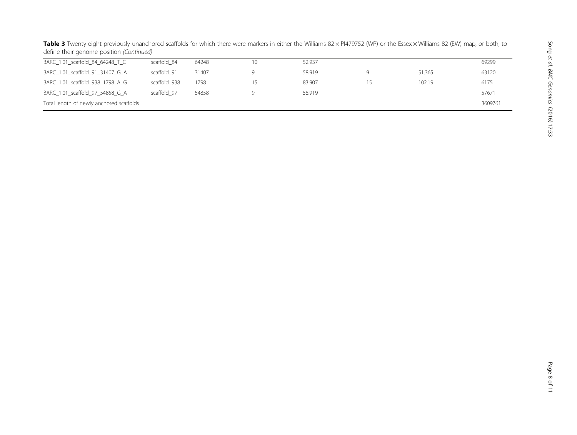|                                          | active trien genome position (commaca) |       |    |        |   |        |       |  |
|------------------------------------------|----------------------------------------|-------|----|--------|---|--------|-------|--|
| BARC_1.01_scaffold_84_64248_T_C          | scaffold 84                            | 64248 | 10 | 52.937 |   |        | 69299 |  |
| BARC_1.01_scaffold_91_31407_G_A          | scaffold 91                            | 31407 |    | 58.919 | Q | 51.365 | 63120 |  |
| BARC_1.01_scaffold_938_1798_A_G          | scaffold 938                           | 1798  |    | 83.907 |   | 102.19 | 6175  |  |
| BARC_1.01_scaffold_97_54858_G_A          | scaffold 97                            | 54858 |    | 58.919 |   |        | 57671 |  |
| Total length of newly anchored scaffolds |                                        |       |    |        |   |        |       |  |

Table 3 Twenty-eight previously unanchored scaffolds for which there were markers in either the Williams 82 × PI479752 (WP) or the Essex × Williams 82 (EW) map, or both, to define their genome position *(Continued)*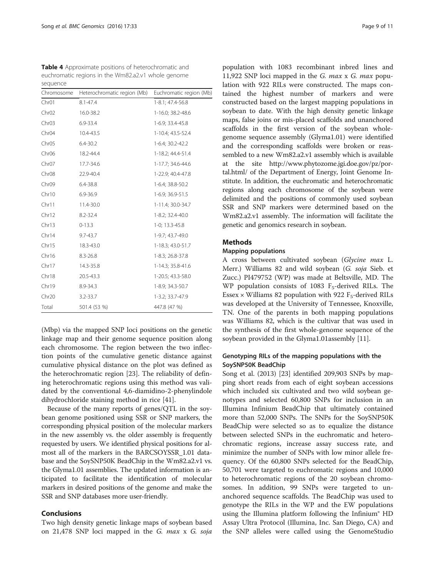<span id="page-10-0"></span>

| <b>Table 4</b> Approximate positions of heterochromatic and |
|-------------------------------------------------------------|
| euchromatic regions in the Wm82.a2.v1 whole genome          |
| sequence                                                    |

| Chromosome        | Heterochromatic region (Mb) | Euchromatic region (Mb) |
|-------------------|-----------------------------|-------------------------|
| Chr <sub>01</sub> | $8.1 - 47.4$                | 1-8.1; 47.4-56.8        |
| Chr <sub>02</sub> | 16.0-38.2                   | 1-16.0; 38.2-48.6       |
| Chr03             | 6.9-33.4                    | 1-6.9; 33.4-45.8        |
| Chr04             | 10.4-43.5                   | 1-10.4; 43.5-52.4       |
| Chr <sub>05</sub> | $6.4 - 30.2$                | 1-6.4; 30.2-42.2        |
| Chr <sub>06</sub> | 18.2-44.4                   | 1-18.2; 44.4-51.4       |
| Chr <sub>07</sub> | 17.7-34.6                   | 1-17.7; 34.6-44.6       |
| Chr <sub>08</sub> | 22.9-40.4                   | 1-22.9; 40.4-47.8       |
| Chr09             | 6.4-38.8                    | 1-6.4; 38.8-50.2        |
| Chr10             | $6.9 - 36.9$                | 1-6.9; 36.9-51.5        |
| Chr11             | 11.4-30.0                   | 1-11.4; 30.0-34.7       |
| Chr12             | 8.2-32.4                    | 1-8.2; 32.4-40.0        |
| Chr13             | $0 - 13.3$                  | 1-0; 13.3-45.8          |
| Chr14             | $9.7 - 43.7$                | 1-9.7; 43.7-49.0        |
| Chr15             | 18.3-43.0                   | 1-18.3; 43.0-51.7       |
| Chr16             | $8.3 - 26.8$                | 1-8.3; 26.8-37.8        |
| Chr17             | 14.3-35.8                   | 1-14.3; 35.8-41.6       |
| Chr18             | 20.5-43.3                   | 1-20.5; 43.3-58.0       |
| Chr19             | 8.9-34.3                    | 1-8.9; 34.3-50.7        |
| Chr <sub>20</sub> | $3.2 - 33.7$                | 1-3.2; 33.7-47.9        |
| Total             | 501.4 (53 %)                | 447.8 (47 %)            |

(Mbp) via the mapped SNP loci positions on the genetic linkage map and their genome sequence position along each chromosome. The region between the two inflection points of the cumulative genetic distance against cumulative physical distance on the plot was defined as the heterochromatic region [[23\]](#page-12-0). The reliability of defining heterochromatic regions using this method was validated by the conventional 4,6-diamidino-2-phenylindole dihydrochloride staining method in rice [[41\]](#page-12-0).

Because of the many reports of genes/QTL in the soybean genome positioned using SSR or SNP markers, the corresponding physical position of the molecular markers in the new assembly vs. the older assembly is frequently requested by users. We identified physical positions for almost all of the markers in the BARCSOYSSR\_1.01 database and the SoySNP50K BeadChip in the Wm82.a2.v1 vs. the Glyma1.01 assemblies. The updated information is anticipated to facilitate the identification of molecular markers in desired positions of the genome and make the SSR and SNP databases more user-friendly.

#### Conclusions

Two high density genetic linkage maps of soybean based on 21,478 SNP loci mapped in the G. max x G. soja

population with 1083 recombinant inbred lines and 11,922 SNP loci mapped in the *G. max x G. max* population with 922 RILs were constructed. The maps contained the highest number of markers and were constructed based on the largest mapping populations in soybean to date. With the high density genetic linkage maps, false joins or mis-placed scaffolds and unanchored scaffolds in the first version of the soybean wholegenome sequence assembly (Glyma1.01) were identified and the corresponding scaffolds were broken or reassembled to a new Wm82.a2.v1 assembly which is available at the site [http://www.phytozome.jgi.doe.gov/pz/por](http://www.phytozome.jgi.doe.gov/pz/portal.html/)[tal.html/](http://www.phytozome.jgi.doe.gov/pz/portal.html/) of the Department of Energy, Joint Genome Institute. In addition, the euchromatic and heterochromatic regions along each chromosome of the soybean were delimited and the positions of commonly used soybean SSR and SNP markers were determined based on the Wm82.a2.v1 assembly. The information will facilitate the genetic and genomics research in soybean.

#### Methods

#### Mapping populations

A cross between cultivated soybean (Glycine max L. Merr.) Williams 82 and wild soybean (G. soja Sieb. et Zucc.) PI479752 (WP) was made at Beltsville, MD. The WP population consists of 1083  $F_5$ -derived RILs. The Essex  $\times$  Williams 82 population with 922 F<sub>5</sub>-derived RILs was developed at the University of Tennessee, Knoxville, TN. One of the parents in both mapping populations was Williams 82, which is the cultivar that was used in the synthesis of the first whole-genome sequence of the soybean provided in the Glyma1.01assembly [\[11](#page-12-0)].

#### Genotyping RILs of the mapping populations with the SoySNP50K BeadChip

Song et al. (2013) [\[23\]](#page-12-0) identified 209,903 SNPs by mapping short reads from each of eight soybean accessions which included six cultivated and two wild soybean genotypes and selected 60,800 SNPs for inclusion in an Illumina Infinium BeadChip that ultimately contained more than 52,000 SNPs. The SNPs for the SoySNP50K BeadChip were selected so as to equalize the distance between selected SNPs in the euchromatic and heterochromatic regions, increase assay success rate, and minimize the number of SNPs with low minor allele frequency. Of the 60,800 SNPs selected for the BeadChip, 50,701 were targeted to euchromatic regions and 10,000 to heterochromatic regions of the 20 soybean chromosomes. In addition, 99 SNPs were targeted to unanchored sequence scaffolds. The BeadChip was used to genotype the RILs in the WP and the EW populations using the Illumina platform following the Infinium® HD Assay Ultra Protocol (Illumina, Inc. San Diego, CA) and the SNP alleles were called using the GenomeStudio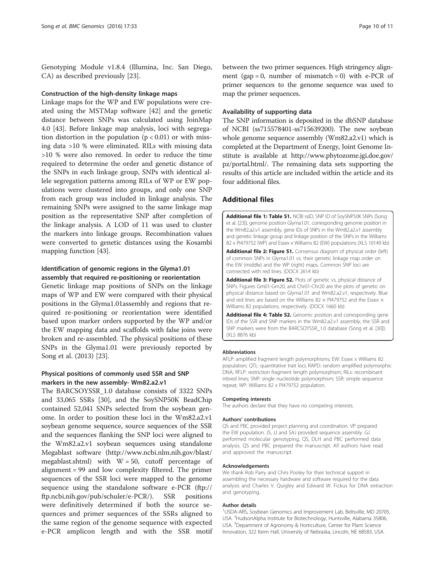<span id="page-11-0"></span>Genotyping Module v1.8.4 (Illumina, Inc. San Diego, CA) as described previously [\[23](#page-12-0)].

#### Construction of the high-density linkage maps

Linkage maps for the WP and EW populations were created using the MSTMap software [\[42](#page-12-0)] and the genetic distance between SNPs was calculated using JoinMap 4.0 [[43](#page-12-0)]. Before linkage map analysis, loci with segregation distortion in the population  $(p < 0.01)$  or with missing data >10 % were eliminated. RILs with missing data >10 % were also removed. In order to reduce the time required to determine the order and genetic distance of the SNPs in each linkage group, SNPs with identical allele segregation patterns among RILs of WP or EW populations were clustered into groups, and only one SNP from each group was included in linkage analysis. The remaining SNPs were assigned to the same linkage map position as the representative SNP after completion of the linkage analysis. A LOD of 11 was used to cluster the markers into linkage groups. Recombination values were converted to genetic distances using the Kosambi mapping function [[43\]](#page-12-0).

#### Identification of genomic regions in the Glyma1.01 assembly that required re-positioning or reorientation

Genetic linkage map positions of SNPs on the linkage maps of WP and EW were compared with their physical positions in the Glyma1.01assembly and regions that required re-positioning or reorientation were identified based upon marker orders supported by the WP and/or the EW mapping data and scaffolds with false joins were broken and re-assembled. The physical positions of these SNPs in the Glyma1.01 were previously reported by Song et al. (2013) [[23](#page-12-0)].

#### Physical positions of commonly used SSR and SNP markers in the new assembly- Wm82.a2.v1

The BARCSOYSSR\_1.0 database consists of 3322 SNPs and 33,065 SSRs [[30](#page-12-0)], and the SoySNP50K BeadChip contained 52,041 SNPs selected from the soybean genome. In order to position these loci in the Wm82.a2.v1 soybean genome sequence, source sequences of the SSR and the sequences flanking the SNP loci were aligned to the Wm82.a2.v1 soybean sequences using standalone Megablast software ([http://www.ncbi.nlm.nih.gov/blast/](http://www.ncbi.nlm.nih.gov/blast/megablast.shtml) [megablast.shtml\)](http://www.ncbi.nlm.nih.gov/blast/megablast.shtml) with  $W = 50$ , cutoff percentage of alignment = 99 and low complexity filtered. The primer sequences of the SSR loci were mapped to the genome sequence using the standalone software e-PCR (ftp:// ftp.ncbi.nih.gov/pub/schuler/e-PCR/). SSR positions were definitively determined if both the source sequences and primer sequences of the SSRs aligned to the same region of the genome sequence with expected e-PCR amplicon length and with the SSR motif between the two primer sequences. High stringency alignment (gap = 0, number of mismatch = 0) with e-PCR of primer sequences to the genome sequence was used to map the primer sequences.

#### Availability of supporting data

The SNP information is deposited in the dbSNP database of NCBI (ss715578401-ss715639200). The new soybean whole genome sequence assembly (Wm82.a2.v1) which is completed at the Department of Energy, Joint Genome Institute is available at [http://www.phytozome.jgi.doe.gov/](http://www.phytozome.jgi.doe.gov/pz/portal.html/) [pz/portal.html/.](http://www.phytozome.jgi.doe.gov/pz/portal.html/) The remaining data sets supporting the results of this article are included within the article and its four additional files.

#### Additional files

[Additional file 1: Table S1.](dx.doi.org/10.1186/s12864-015-2344-0) NCBI ssID, SNP ID of SoySNP50K SNPs (Song et al. [\[23](#page-12-0)]), genome position Glyma1.01, corresponding genome position in the Wm82.a2.v1 assembly, gene IDs of SNPs in the Wm82.a2.v1 assembly and genetic linkage group and linkage position of the SNPs in the Williams 82 x PI479752 (WP) and Essex x Williams 82 (EW) populations (XLS 10149 kb)

[Additional file 2: Figure S1.](dx.doi.org/10.1186/s12864-015-2344-0) Consensus diagram of physical order (left) of common SNPs in Glyma1.01 vs. their genetic linkage map order on the EW (middle) and the WP (right) maps. Common SNP loci are connected with red lines. (DOCX 2614 kb)

[Additional file 3: Figure S2.](dx.doi.org/10.1186/s12864-015-2344-0) Plots of genetic vs. physical distance of SNPs. Figures Gm01-Gm20, and Chr01-Chr20 are the plots of genetic on physical distance based on Glyma1.01 and Wm82.a2.v1, respectively. Blue and red lines are based on the Williams 82  $\times$  PI479752 and the Essex  $\times$ Williams 82 populations, respectively. (DOCX 1660 kb)

[Additional file 4: Table S2.](dx.doi.org/10.1186/s12864-015-2344-0) Genomic position and corresponding gene IDs of the SSR and SNP markers in the Wm82.a2.v1 assembly, the SSR and SNP markers were from the BARCSOYSSR\_1.0 database (Song et al. [\[30](#page-12-0)]). (XLS 8876 kb)

#### Abbreviations

AFLP: amplified fragment length polymorphisms; EW: Essex x Williams 82 population; QTL: quantitative trait loci; RAPD: random amplified polymorphic DNA; RFLP: restriction fragment length polymorphism; RILs: recombinant inbred lines; SNP: single nucleotide polymorphism; SSR: simple sequence repeat; WP: Williams 82 x PI479752 population.

#### Competing interests

The authors declare that they have no competing interests.

#### Authors' contributions

QS and PBC provided project planning and coordination. VP prepared the EW population. JS, JJ and SAJ provided sequence assembly. GJ performed molecular genotyping, QS, DLH and PBC performed data analysis. QS and PBC prepared the manuscript. All authors have read and approved the manuscript.

#### Acknowledgements

We thank Rob Parry and Chris Pooley for their technical support in assembling the necessary hardware and software required for the data analysis and Charles V. Quigley and Edward W. Fickus for DNA extraction and genotyping.

#### Author details

<sup>1</sup>USDA-ARS, Soybean Genomics and Improvement Lab, Beltsville, MD 20705 USA. <sup>2</sup>HudsonAlpha Institute for Biotechnology, Huntsville, Alabama 35806 USA. <sup>3</sup>Department of Agronomy & Horticulture, Center for Plant Science Innovation, 322 Keim Hall, University of Nebraska, Lincoln, NE 68583, USA.